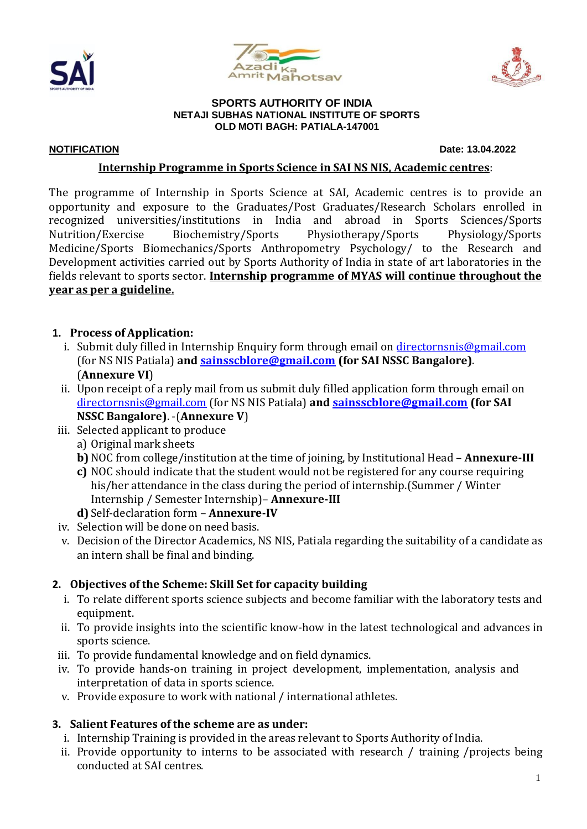





#### **SPORTS AUTHORITY OF INDIA NETAJI SUBHAS NATIONAL INSTITUTE OF SPORTS OLD MOTI BAGH: PATIALA-147001**

**NOTIFICATION Date: 13.04.2022**

### **Internship Programme in Sports Science in SAI NS NIS, Academic centres**:

The programme of Internship in Sports Science at SAI, Academic centres is to provide an opportunity and exposure to the Graduates/Post Graduates/Research Scholars enrolled in recognized universities/institutions in India and abroad in Sports Sciences/Sports Nutrition/Exercise Biochemistry/Sports Physiotherapy/Sports Physiology/Sports Medicine/Sports Biomechanics/Sports Anthropometry Psychology/ to the Research and Development activities carried out by Sports Authority of India in state of art laboratories in the fields relevant to sports sector. **Internship programme of MYAS will continue throughout the year as per a guideline.**

## **1. Process of Application:**

- i. Submit duly filled in Internship Enquiry form through email on *[directornsnis@gmail.com](mailto:directornsnis@gmail.com)* (for NS NIS Patiala) **and [sainsscblore@gmail.com](mailto:sainsscblore@gmail.com) (for SAI NSSC Bangalore)**. (**Annexure VI**)
- ii. Upon receipt of a reply mail from us submit duly filled application form through email on [directornsnis@gmail.com](mailto:directornsnis@gmail.com) (for NS NIS Patiala) **and [sainsscblore@gmail.com](mailto:sainsscblore@gmail.com) (for SAI NSSC Bangalore)**. -(**Annexure V**)
- iii. Selected applicant to produce
	- a) Original mark sheets
	- **b)** NOC from college/institution at the time of joining, by Institutional Head **Annexure-III**
	- **c)** NOC should indicate that the student would not be registered for any course requiring his/her attendance in the class during the period of internship.(Summer / Winter Internship / Semester Internship)– **Annexure-III**
	- **d)**Self-declaration form **Annexure-IV**
- iv. Selection will be done on need basis.
- v. Decision of the Director Academics, NS NIS, Patiala regarding the suitability of a candidate as an intern shall be final and binding.

## **2. Objectives of the Scheme: Skill Set for capacity building**

- i. To relate different sports science subjects and become familiar with the laboratory tests and equipment.
- ii. To provide insights into the scientific know-how in the latest technological and advances in sports science.
- iii. To provide fundamental knowledge and on field dynamics.
- iv. To provide hands-on training in project development, implementation, analysis and interpretation of data in sports science.
- v. Provide exposure to work with national / international athletes.

## **3. Salient Features of the scheme are as under:**

- i. Internship Training is provided in the areas relevant to Sports Authority of India.
- ii. Provide opportunity to interns to be associated with research / training /projects being conducted at SAI centres.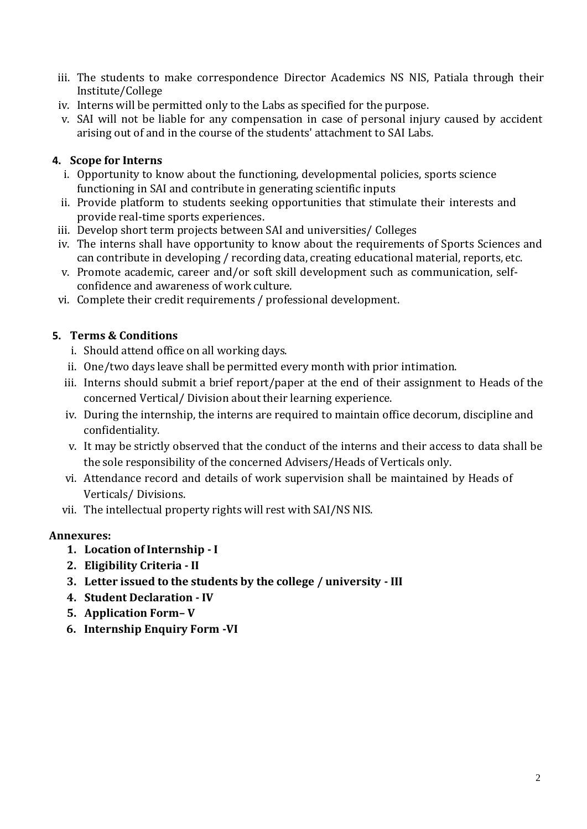- iii. The students to make correspondence Director Academics NS NIS, Patiala through their Institute/College
- iv. Interns will be permitted only to the Labs as specified for the purpose.
- v. SAI will not be liable for any compensation in case of personal injury caused by accident arising out of and in the course of the students' attachment to SAI Labs.

## **4. Scope for Interns**

- i. Opportunity to know about the functioning, developmental policies, sports science functioning in SAI and contribute in generating scientific inputs
- ii. Provide platform to students seeking opportunities that stimulate their interests and provide real‐time sports experiences.
- iii. Develop short term projects between SAI and universities/ Colleges
- iv. The interns shall have opportunity to know about the requirements of Sports Sciences and can contribute in developing / recording data, creating educational material, reports, etc.
- v. Promote academic, career and/or soft skill development such as communication, selfconfidence and awareness of work culture.
- vi. Complete their credit requirements / professional development.

## **5. Terms & Conditions**

- i. Should attend office on all working days.
- ii. One/two days leave shall be permitted every month with prior intimation.
- iii. Interns should submit a brief report/paper at the end of their assignment to Heads of the concerned Vertical/ Division about their learning experience.
- iv. During the internship, the interns are required to maintain office decorum, discipline and confidentiality.
- v. It may be strictly observed that the conduct of the interns and their access to data shall be the sole responsibility of the concerned Advisers/Heads of Verticals only.
- vi. Attendance record and details of work supervision shall be maintained by Heads of Verticals/ Divisions.
- vii. The intellectual property rights will rest with SAI/NS NIS.

## **Annexures:**

- **1. Location of Internship - I**
- **2. Eligibility Criteria - II**
- **3. Letter issued to the students by the college / university - III**
- **4. Student Declaration - IV**
- **5. Application Form– V**
- **6. Internship Enquiry Form -VI**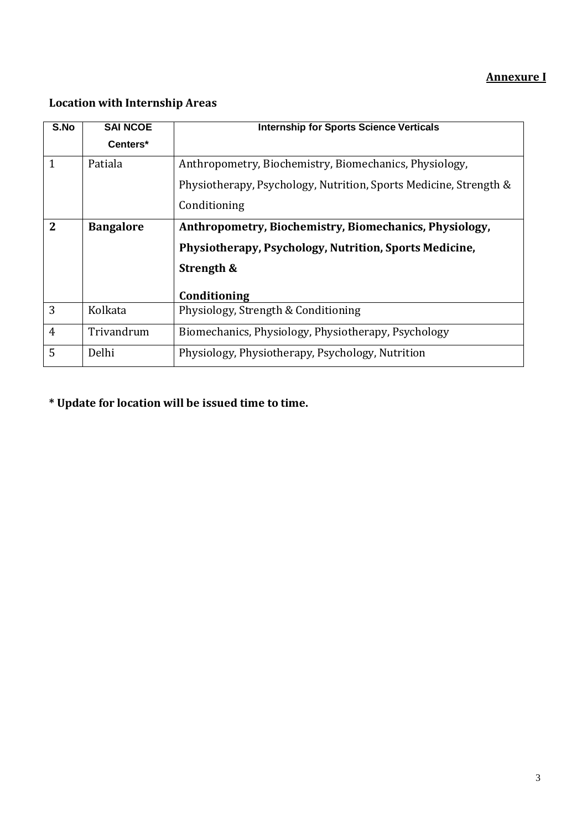## **Annexure I**

## **Location with Internship Areas**

| S.No           | <b>SAI NCOE</b>  | <b>Internship for Sports Science Verticals</b>                    |  |
|----------------|------------------|-------------------------------------------------------------------|--|
|                | Centers*         |                                                                   |  |
| $\mathbf{1}$   | Patiala          | Anthropometry, Biochemistry, Biomechanics, Physiology,            |  |
|                |                  | Physiotherapy, Psychology, Nutrition, Sports Medicine, Strength & |  |
|                |                  | Conditioning                                                      |  |
| 2              | <b>Bangalore</b> | Anthropometry, Biochemistry, Biomechanics, Physiology,            |  |
|                |                  | Physiotherapy, Psychology, Nutrition, Sports Medicine,            |  |
|                |                  | Strength &                                                        |  |
|                |                  | Conditioning                                                      |  |
| 3              | Kolkata          | Physiology, Strength & Conditioning                               |  |
| $\overline{4}$ | Trivandrum       | Biomechanics, Physiology, Physiotherapy, Psychology               |  |
| 5              | Delhi            | Physiology, Physiotherapy, Psychology, Nutrition                  |  |

**\* Update for location will be issued time to time.**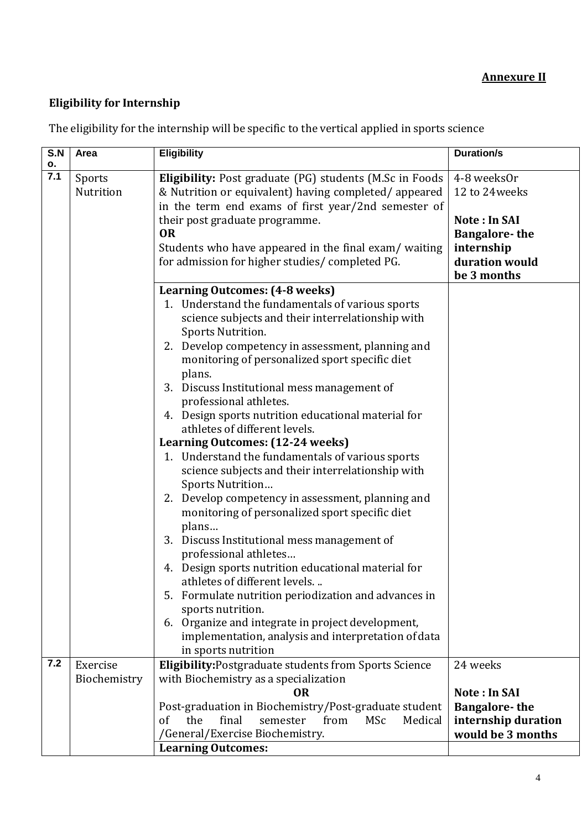## **Annexure II**

## **Eligibility for Internship**

| S.N<br>о. | Area         | <b>Eligibility</b>                                                                                     | <b>Duration/s</b>    |
|-----------|--------------|--------------------------------------------------------------------------------------------------------|----------------------|
| 7.1       | Sports       | <b>Eligibility:</b> Post graduate (PG) students (M.Sc in Foods                                         | 4-8 weeks0r          |
|           | Nutrition    | & Nutrition or equivalent) having completed/appeared                                                   | 12 to 24 weeks       |
|           |              | in the term end exams of first year/2nd semester of                                                    |                      |
|           |              | their post graduate programme.                                                                         | <b>Note: In SAI</b>  |
|           |              | <b>OR</b>                                                                                              | <b>Bangalore-the</b> |
|           |              | Students who have appeared in the final exam/waiting                                                   | internship           |
|           |              | for admission for higher studies/completed PG.                                                         | duration would       |
|           |              |                                                                                                        | be 3 months          |
|           |              | <b>Learning Outcomes: (4-8 weeks)</b>                                                                  |                      |
|           |              | 1. Understand the fundamentals of various sports                                                       |                      |
|           |              | science subjects and their interrelationship with                                                      |                      |
|           |              | Sports Nutrition.                                                                                      |                      |
|           |              | 2. Develop competency in assessment, planning and                                                      |                      |
|           |              | monitoring of personalized sport specific diet                                                         |                      |
|           |              | plans.<br>Discuss Institutional mess management of<br>3.                                               |                      |
|           |              | professional athletes.                                                                                 |                      |
|           |              | 4. Design sports nutrition educational material for                                                    |                      |
|           |              | athletes of different levels.                                                                          |                      |
|           |              | <b>Learning Outcomes: (12-24 weeks)</b>                                                                |                      |
|           |              | 1. Understand the fundamentals of various sports                                                       |                      |
|           |              | science subjects and their interrelationship with                                                      |                      |
|           |              | Sports Nutrition                                                                                       |                      |
|           |              | 2. Develop competency in assessment, planning and                                                      |                      |
|           |              | monitoring of personalized sport specific diet                                                         |                      |
|           |              | plans                                                                                                  |                      |
|           |              | Discuss Institutional mess management of<br>3.                                                         |                      |
|           |              | professional athletes                                                                                  |                      |
|           |              | 4. Design sports nutrition educational material for                                                    |                      |
|           |              | athletes of different levels                                                                           |                      |
|           |              | 5. Formulate nutrition periodization and advances in                                                   |                      |
|           |              | sports nutrition.                                                                                      |                      |
|           |              | 6. Organize and integrate in project development,                                                      |                      |
|           |              | implementation, analysis and interpretation of data<br>in sports nutrition                             |                      |
| 7.2       | Exercise     |                                                                                                        | 24 weeks             |
|           | Biochemistry | <b>Eligibility: Postgraduate students from Sports Science</b><br>with Biochemistry as a specialization |                      |
|           |              | <b>OR</b>                                                                                              | <b>Note: In SAI</b>  |
|           |              | Post-graduation in Biochemistry/Post-graduate student                                                  | <b>Bangalore-the</b> |
|           |              | the<br>final<br><b>MSc</b><br>Medical<br>of<br>semester<br>from                                        | internship duration  |
|           |              | /General/Exercise Biochemistry.                                                                        | would be 3 months    |
|           |              | <b>Learning Outcomes:</b>                                                                              |                      |

The eligibility for the internship will be specific to the vertical applied in sports science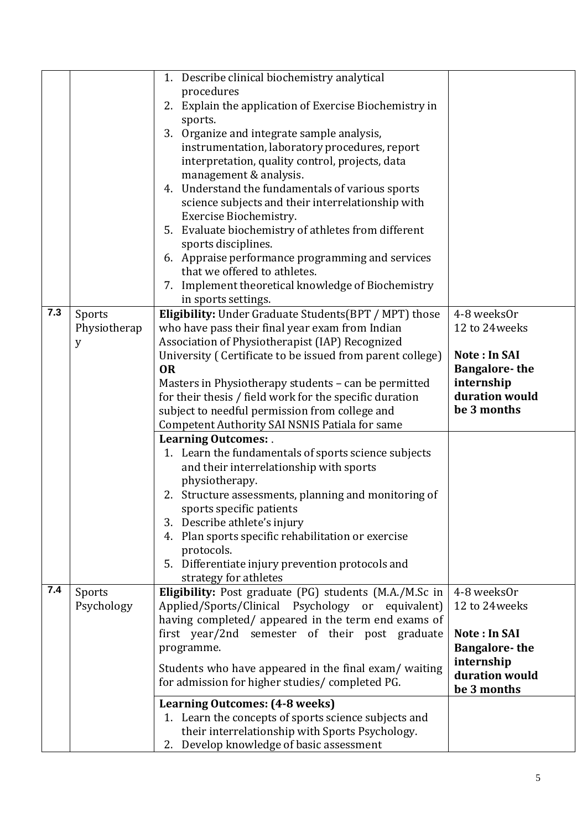|     |              | 1. Describe clinical biochemistry analytical                                                            |                                      |
|-----|--------------|---------------------------------------------------------------------------------------------------------|--------------------------------------|
|     |              | procedures                                                                                              |                                      |
|     |              | 2. Explain the application of Exercise Biochemistry in                                                  |                                      |
|     |              | sports.                                                                                                 |                                      |
|     |              | Organize and integrate sample analysis,<br>3.                                                           |                                      |
|     |              | instrumentation, laboratory procedures, report                                                          |                                      |
|     |              | interpretation, quality control, projects, data                                                         |                                      |
|     |              | management & analysis.<br>Understand the fundamentals of various sports<br>4.                           |                                      |
|     |              | science subjects and their interrelationship with                                                       |                                      |
|     |              | Exercise Biochemistry.                                                                                  |                                      |
|     |              | Evaluate biochemistry of athletes from different<br>5.                                                  |                                      |
|     |              | sports disciplines.                                                                                     |                                      |
|     |              | 6. Appraise performance programming and services                                                        |                                      |
|     |              | that we offered to athletes.                                                                            |                                      |
|     |              | Implement theoretical knowledge of Biochemistry<br>7.                                                   |                                      |
|     |              | in sports settings.                                                                                     |                                      |
| 7.3 | Sports       | Eligibility: Under Graduate Students(BPT / MPT) those                                                   | 4-8 weeks0r                          |
|     | Physiotherap | who have pass their final year exam from Indian                                                         | 12 to 24 weeks                       |
|     | у            | Association of Physiotherapist (IAP) Recognized                                                         |                                      |
|     |              | University (Certificate to be issued from parent college)<br><b>OR</b>                                  | Note: In SAI<br><b>Bangalore-the</b> |
|     |              | Masters in Physiotherapy students - can be permitted                                                    | internship                           |
|     |              | for their thesis / field work for the specific duration                                                 | duration would                       |
|     |              | subject to needful permission from college and                                                          | be 3 months                          |
|     |              | <b>Competent Authority SAI NSNIS Patiala for same</b>                                                   |                                      |
|     |              | <b>Learning Outcomes:.</b>                                                                              |                                      |
|     |              | 1. Learn the fundamentals of sports science subjects                                                    |                                      |
|     |              | and their interrelationship with sports                                                                 |                                      |
|     |              | physiotherapy.                                                                                          |                                      |
|     |              | 2. Structure assessments, planning and monitoring of                                                    |                                      |
|     |              | sports specific patients                                                                                |                                      |
|     |              | 3. Describe athlete's injury                                                                            |                                      |
|     |              | 4. Plan sports specific rehabilitation or exercise                                                      |                                      |
|     |              | protocols.<br>Differentiate injury prevention protocols and<br>5.                                       |                                      |
|     |              | strategy for athletes                                                                                   |                                      |
| 7.4 | Sports       | Eligibility: Post graduate (PG) students (M.A./M.Sc in                                                  | 4-8 weeks0r                          |
|     | Psychology   | Applied/Sports/Clinical Psychology or<br>equivalent)                                                    | 12 to 24 weeks                       |
|     |              | having completed/ appeared in the term end exams of                                                     |                                      |
|     |              | first year/2nd semester of their post graduate                                                          | <b>Note: In SAI</b>                  |
|     |              | programme.                                                                                              | <b>Bangalore-the</b>                 |
|     |              | Students who have appeared in the final exam/ waiting                                                   | internship                           |
|     |              | for admission for higher studies/completed PG.                                                          | duration would                       |
|     |              |                                                                                                         | be 3 months                          |
|     |              | <b>Learning Outcomes: (4-8 weeks)</b>                                                                   |                                      |
|     |              |                                                                                                         |                                      |
|     |              | 2. Develop knowledge of basic assessment                                                                |                                      |
|     |              | 1. Learn the concepts of sports science subjects and<br>their interrelationship with Sports Psychology. |                                      |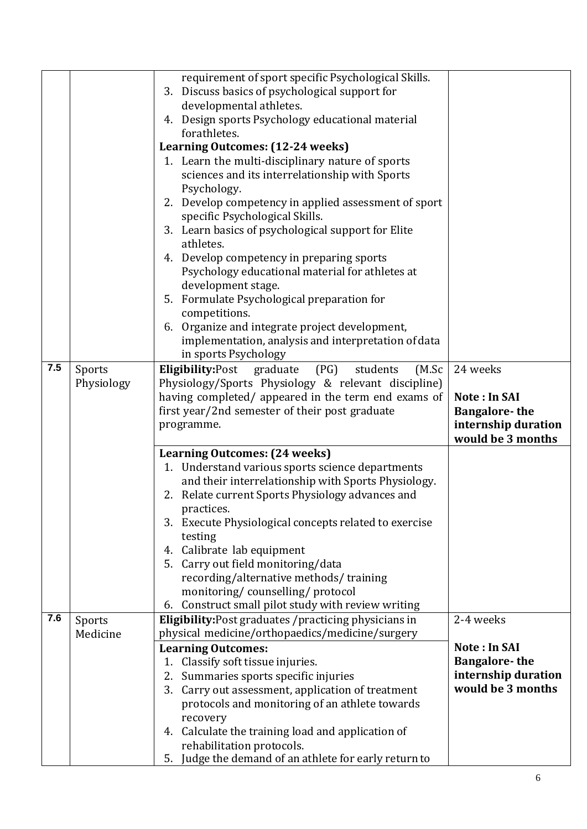|     |            | requirement of sport specific Psychological Skills.                                   |                      |
|-----|------------|---------------------------------------------------------------------------------------|----------------------|
|     |            | 3. Discuss basics of psychological support for                                        |                      |
|     |            | developmental athletes.                                                               |                      |
|     |            |                                                                                       |                      |
|     |            | 4. Design sports Psychology educational material<br>forathletes.                      |                      |
|     |            |                                                                                       |                      |
|     |            | Learning Outcomes: (12-24 weeks)                                                      |                      |
|     |            | 1. Learn the multi-disciplinary nature of sports                                      |                      |
|     |            | sciences and its interrelationship with Sports                                        |                      |
|     |            | Psychology.                                                                           |                      |
|     |            | 2. Develop competency in applied assessment of sport                                  |                      |
|     |            | specific Psychological Skills.                                                        |                      |
|     |            | 3. Learn basics of psychological support for Elite                                    |                      |
|     |            | athletes.                                                                             |                      |
|     |            | 4. Develop competency in preparing sports                                             |                      |
|     |            | Psychology educational material for athletes at                                       |                      |
|     |            | development stage.                                                                    |                      |
|     |            | 5. Formulate Psychological preparation for                                            |                      |
|     |            | competitions.                                                                         |                      |
|     |            | Organize and integrate project development,<br>6.                                     |                      |
|     |            | implementation, analysis and interpretation of data                                   |                      |
|     |            | in sports Psychology                                                                  |                      |
| 7.5 | Sports     | <b>Eligibility:Post</b><br>(PG)<br>graduate<br>students<br>(M.Sc)                     | 24 weeks             |
|     | Physiology | Physiology/Sports Physiology & relevant discipline)                                   |                      |
|     |            | having completed/ appeared in the term end exams of                                   | <b>Note: In SAI</b>  |
|     |            | first year/2nd semester of their post graduate                                        | <b>Bangalore-the</b> |
|     |            |                                                                                       |                      |
|     |            | programme.                                                                            | internship duration  |
|     |            |                                                                                       | would be 3 months    |
|     |            | <b>Learning Outcomes: (24 weeks)</b>                                                  |                      |
|     |            | 1. Understand various sports science departments                                      |                      |
|     |            | and their interrelationship with Sports Physiology.                                   |                      |
|     |            | 2. Relate current Sports Physiology advances and                                      |                      |
|     |            | practices.                                                                            |                      |
|     |            | 3. Execute Physiological concepts related to exercise                                 |                      |
|     |            | testing                                                                               |                      |
|     |            | 4. Calibrate lab equipment                                                            |                      |
|     |            | 5. Carry out field monitoring/data                                                    |                      |
|     |            | recording/alternative methods/training                                                |                      |
|     |            | monitoring/counselling/protocol                                                       |                      |
|     |            | Construct small pilot study with review writing<br>6.                                 |                      |
| 7.6 | Sports     | Eligibility: Post graduates / practicing physicians in                                | 2-4 weeks            |
|     | Medicine   | physical medicine/orthopaedics/medicine/surgery                                       |                      |
|     |            | <b>Learning Outcomes:</b>                                                             | Note: In SAI         |
|     |            | 1. Classify soft tissue injuries.                                                     | <b>Bangalore-the</b> |
|     |            | Summaries sports specific injuries<br>2.                                              | internship duration  |
|     |            | Carry out assessment, application of treatment<br>3.                                  | would be 3 months    |
|     |            | protocols and monitoring of an athlete towards                                        |                      |
|     |            | recovery                                                                              |                      |
|     |            | Calculate the training load and application of<br>4.                                  |                      |
|     |            | rehabilitation protocols.<br>Judge the demand of an athlete for early return to<br>5. |                      |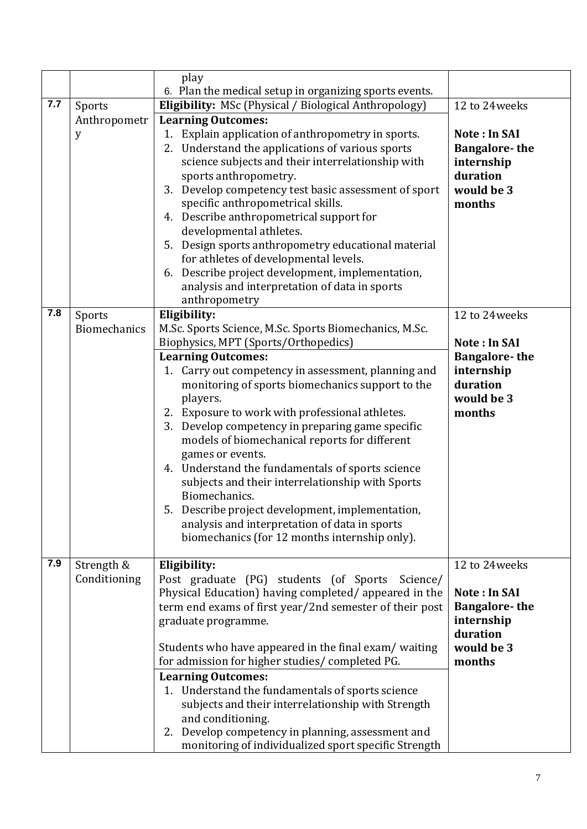|     |                     | play                                                                                                         |                        |
|-----|---------------------|--------------------------------------------------------------------------------------------------------------|------------------------|
|     |                     | 6. Plan the medical setup in organizing sports events.                                                       |                        |
| 7.7 | Sports              | <b>Eligibility:</b> MSc (Physical / Biological Anthropology)                                                 | 12 to 24 weeks         |
|     | Anthropometr        | <b>Learning Outcomes:</b>                                                                                    |                        |
|     | y                   | 1. Explain application of anthropometry in sports.                                                           | <b>Note: In SAI</b>    |
|     |                     | Understand the applications of various sports<br>2.                                                          | <b>Bangalore-the</b>   |
|     |                     | science subjects and their interrelationship with                                                            | internship             |
|     |                     | sports anthropometry.                                                                                        | duration               |
|     |                     | 3. Develop competency test basic assessment of sport<br>specific anthropometrical skills.                    | would be 3<br>months   |
|     |                     | Describe anthropometrical support for<br>4.                                                                  |                        |
|     |                     | developmental athletes.                                                                                      |                        |
|     |                     | 5. Design sports anthropometry educational material                                                          |                        |
|     |                     | for athletes of developmental levels.                                                                        |                        |
|     |                     | Describe project development, implementation,<br>6.                                                          |                        |
|     |                     | analysis and interpretation of data in sports                                                                |                        |
|     |                     | anthropometry                                                                                                |                        |
| 7.8 | Sports              | Eligibility:                                                                                                 | 12 to 24 weeks         |
|     | <b>Biomechanics</b> | M.Sc. Sports Science, M.Sc. Sports Biomechanics, M.Sc.                                                       |                        |
|     |                     | Biophysics, MPT (Sports/Orthopedics)                                                                         | <b>Note: In SAI</b>    |
|     |                     | <b>Learning Outcomes:</b>                                                                                    | <b>Bangalore-the</b>   |
|     |                     | 1. Carry out competency in assessment, planning and                                                          | internship             |
|     |                     | monitoring of sports biomechanics support to the                                                             | duration<br>would be 3 |
|     |                     | players.<br>2. Exposure to work with professional athletes.                                                  | months                 |
|     |                     | Develop competency in preparing game specific<br>3.                                                          |                        |
|     |                     | models of biomechanical reports for different                                                                |                        |
|     |                     | games or events.                                                                                             |                        |
|     |                     | 4. Understand the fundamentals of sports science                                                             |                        |
|     |                     | subjects and their interrelationship with Sports                                                             |                        |
|     |                     | Biomechanics.                                                                                                |                        |
|     |                     | 5. Describe project development, implementation,                                                             |                        |
|     |                     | analysis and interpretation of data in sports                                                                |                        |
|     |                     | biomechanics (for 12 months internship only).                                                                |                        |
| 7.9 |                     |                                                                                                              |                        |
|     | Strength &          | Eligibility:                                                                                                 | 12 to 24 weeks         |
|     | Conditioning        | Post graduate (PG) students (of Sports<br>Science/<br>Physical Education) having completed/appeared in the   | Note: In SAI           |
|     |                     | term end exams of first year/2nd semester of their post                                                      | <b>Bangalore-the</b>   |
|     | graduate programme. |                                                                                                              | internship             |
|     |                     |                                                                                                              | duration               |
|     |                     | Students who have appeared in the final exam/ waiting                                                        | would be 3             |
|     |                     | for admission for higher studies/completed PG.                                                               | months                 |
|     |                     | <b>Learning Outcomes:</b>                                                                                    |                        |
|     |                     | 1. Understand the fundamentals of sports science                                                             |                        |
|     |                     | subjects and their interrelationship with Strength                                                           |                        |
|     |                     | and conditioning.                                                                                            |                        |
|     |                     | Develop competency in planning, assessment and<br>2.<br>monitoring of individualized sport specific Strength |                        |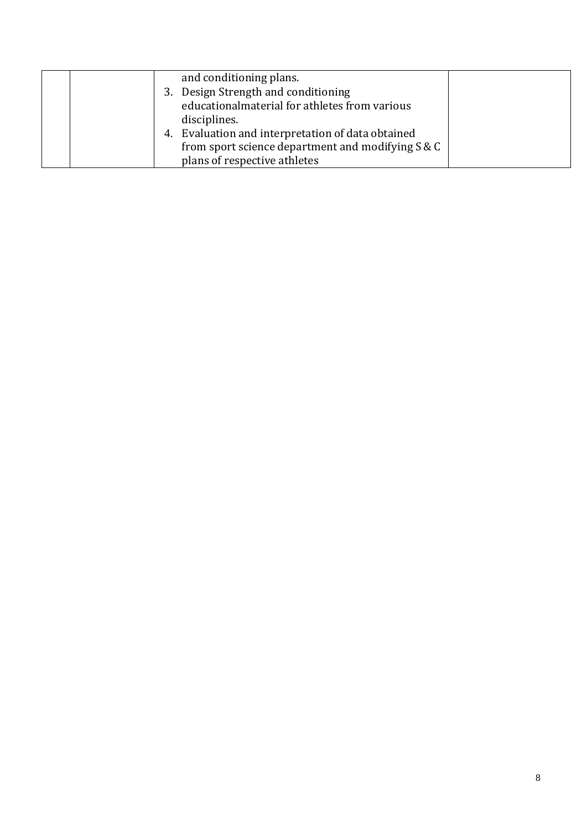|  | and conditioning plans.                           |  |
|--|---------------------------------------------------|--|
|  | 3. Design Strength and conditioning               |  |
|  | educationalmaterial for athletes from various     |  |
|  | disciplines.                                      |  |
|  | 4. Evaluation and interpretation of data obtained |  |
|  | from sport science department and modifying S & C |  |
|  | plans of respective athletes                      |  |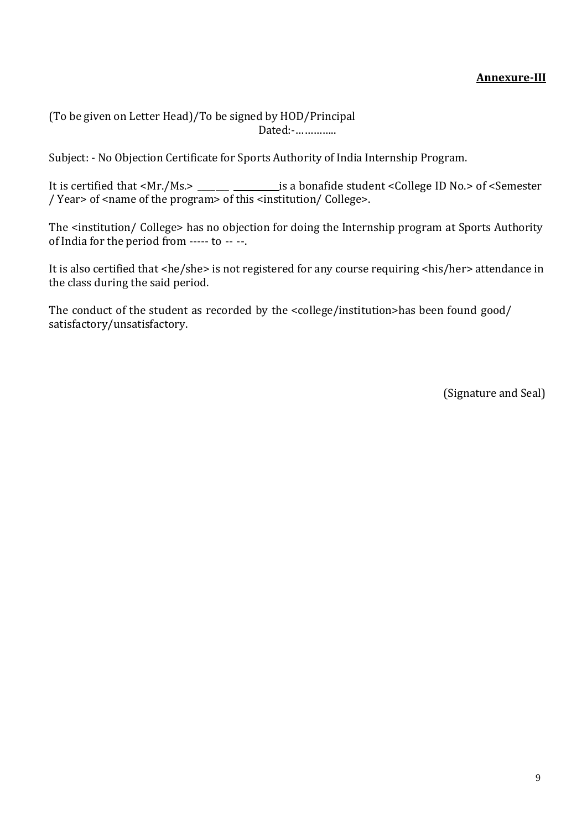(To be given on Letter Head)/To be signed by HOD/Principal Dated:-…………..

Subject: - No Objection Certificate for Sports Authority of India Internship Program.

It is certified that <Mr./Ms.> \_\_\_\_\_\_ \_\_\_\_\_\_\_\_\_\_\_\_\_\_\_is a bonafide student <College ID No.> of <Semester / Year> of <name of the program> of this <institution/ College>.

The <institution/ College> has no objection for doing the Internship program at Sports Authority of India for the period from ----- to -- --.

It is also certified that <he/she> is not registered for any course requiring <his/her> attendance in the class during the said period.

The conduct of the student as recorded by the <college/institution>has been found good/ satisfactory/unsatisfactory.

(Signature and Seal)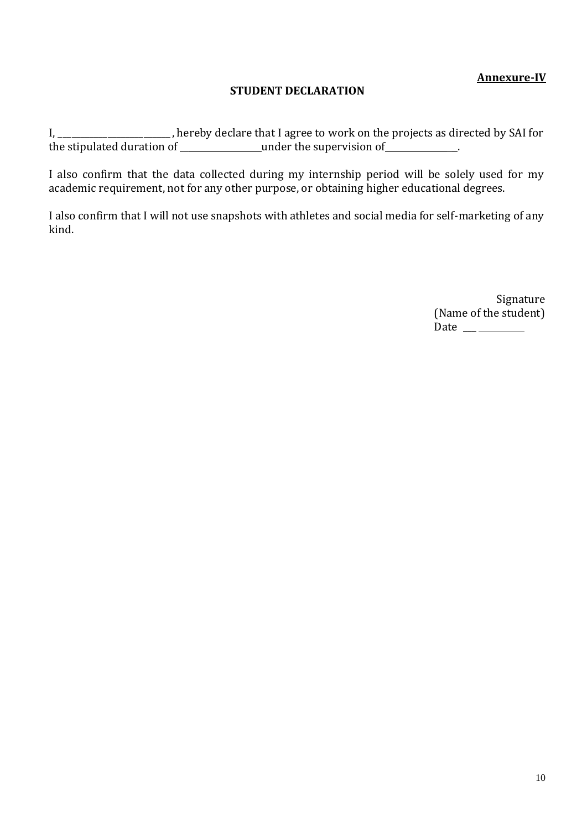## **Annexure-IV**

### **STUDENT DECLARATION**

I, \_\_\_\_\_\_\_\_\_\_\_\_\_\_\_\_\_\_\_\_\_\_, hereby declare that I agree to work on the projects as directed by SAI for the stipulated duration of \_\_\_\_\_\_\_\_\_\_\_\_\_\_\_\_under the supervision of \_\_\_\_\_\_\_\_\_\_\_\_.

I also confirm that the data collected during my internship period will be solely used for my academic requirement, not for any other purpose, or obtaining higher educational degrees.

I also confirm that I will not use snapshots with athletes and social media for self-marketing of any kind.

> Signature (Name of the student) Date  $\_\_\_\_\_\_\_\_\_\_\_\_\_\_\_$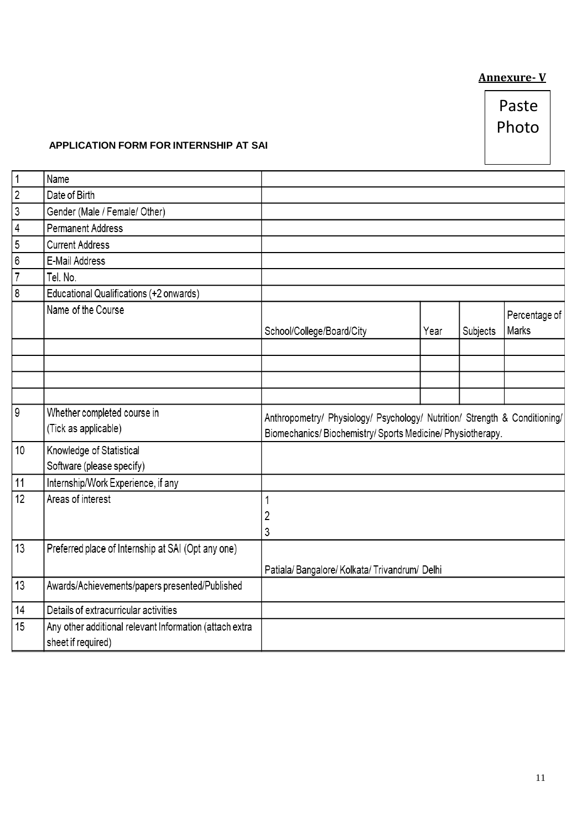## **Annexure- V**

### **APPLICATION FORM FOR INTERNSHIP AT SAI**

| $\mathbf 1$    | Name                                                                          |                                                                                                                                        |      |          |                        |
|----------------|-------------------------------------------------------------------------------|----------------------------------------------------------------------------------------------------------------------------------------|------|----------|------------------------|
| $\sqrt{2}$     | Date of Birth                                                                 |                                                                                                                                        |      |          |                        |
| $\mathsf 3$    | Gender (Male / Female/ Other)                                                 |                                                                                                                                        |      |          |                        |
| 4              | <b>Permanent Address</b>                                                      |                                                                                                                                        |      |          |                        |
| 5              | <b>Current Address</b>                                                        |                                                                                                                                        |      |          |                        |
| 6              | E-Mail Address                                                                |                                                                                                                                        |      |          |                        |
| $\overline{7}$ | Tel. No.                                                                      |                                                                                                                                        |      |          |                        |
| 8              | Educational Qualifications (+2 onwards)                                       |                                                                                                                                        |      |          |                        |
|                | Name of the Course                                                            | School/College/Board/City                                                                                                              | Year | Subjects | Percentage of<br>Marks |
|                |                                                                               |                                                                                                                                        |      |          |                        |
|                |                                                                               |                                                                                                                                        |      |          |                        |
| 9              | Whether completed course in<br>(Tick as applicable)                           | Anthropometry/ Physiology/ Psychology/ Nutrition/ Strength & Conditioning/<br>Biomechanics/Biochemistry/Sports Medicine/Physiotherapy. |      |          |                        |
| 10             | Knowledge of Statistical                                                      |                                                                                                                                        |      |          |                        |
|                | Software (please specify)                                                     |                                                                                                                                        |      |          |                        |
| 11             | Internship/Work Experience, if any                                            |                                                                                                                                        |      |          |                        |
| 12             | Areas of interest                                                             | 1<br>2<br>3                                                                                                                            |      |          |                        |
| 13             | Preferred place of Internship at SAI (Opt any one)                            |                                                                                                                                        |      |          |                        |
|                |                                                                               | Patiala/Bangalore/Kolkata/Trivandrum/Delhi                                                                                             |      |          |                        |
| 13             | Awards/Achievements/papers presented/Published                                |                                                                                                                                        |      |          |                        |
| 14             | Details of extracurricular activities                                         |                                                                                                                                        |      |          |                        |
| 15             | Any other additional relevant Information (attach extra<br>sheet if required) |                                                                                                                                        |      |          |                        |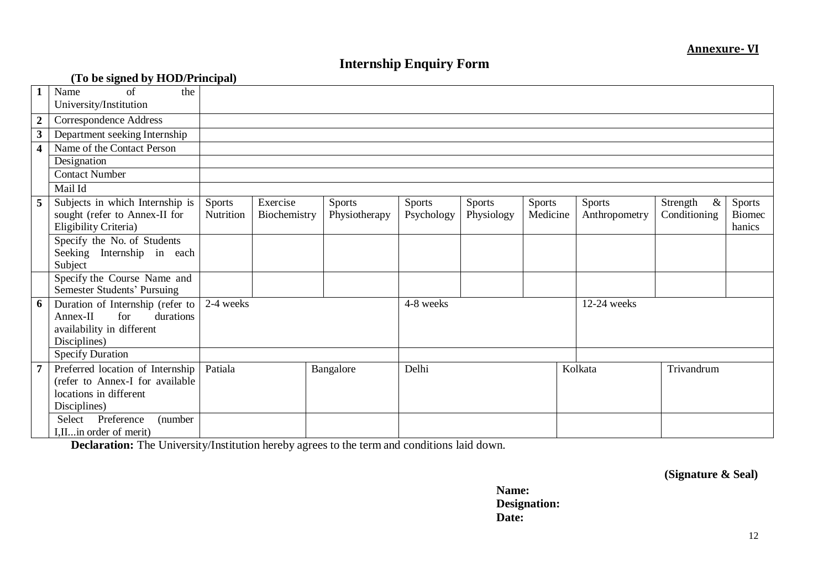## **Internship Enquiry Form**

|                         | (To be signed by HOD/Principal)                            |               |              |               |            |            |               |               |                  |               |
|-------------------------|------------------------------------------------------------|---------------|--------------|---------------|------------|------------|---------------|---------------|------------------|---------------|
| 1                       | of<br>the<br>Name                                          |               |              |               |            |            |               |               |                  |               |
|                         | University/Institution                                     |               |              |               |            |            |               |               |                  |               |
| $\boldsymbol{2}$        | <b>Correspondence Address</b>                              |               |              |               |            |            |               |               |                  |               |
| $\mathbf{3}$            | Department seeking Internship                              |               |              |               |            |            |               |               |                  |               |
| $\overline{\mathbf{4}}$ | Name of the Contact Person                                 |               |              |               |            |            |               |               |                  |               |
|                         | Designation                                                |               |              |               |            |            |               |               |                  |               |
|                         | <b>Contact Number</b>                                      |               |              |               |            |            |               |               |                  |               |
|                         | Mail Id                                                    |               |              |               |            |            |               |               |                  |               |
| 5                       | Subjects in which Internship is                            | <b>Sports</b> | Exercise     | <b>Sports</b> | Sports     | Sports     | <b>Sports</b> | <b>Sports</b> | Strength<br>$\&$ | Sports        |
|                         | sought (refer to Annex-II for                              | Nutrition     | Biochemistry | Physiotherapy | Psychology | Physiology | Medicine      | Anthropometry | Conditioning     | <b>Biomec</b> |
|                         | Eligibility Criteria)                                      |               |              |               |            |            |               |               |                  | hanics        |
|                         | Specify the No. of Students                                |               |              |               |            |            |               |               |                  |               |
|                         | Seeking Internship in each                                 |               |              |               |            |            |               |               |                  |               |
|                         | Subject                                                    |               |              |               |            |            |               |               |                  |               |
|                         | Specify the Course Name and<br>Semester Students' Pursuing |               |              |               |            |            |               |               |                  |               |
| 6                       | Duration of Internship (refer to                           | 2-4 weeks     |              |               | 4-8 weeks  |            |               | 12-24 weeks   |                  |               |
|                         | for<br>durations<br>$Annex-II$                             |               |              |               |            |            |               |               |                  |               |
|                         | availability in different                                  |               |              |               |            |            |               |               |                  |               |
|                         | Disciplines)                                               |               |              |               |            |            |               |               |                  |               |
|                         | <b>Specify Duration</b>                                    |               |              |               |            |            |               |               |                  |               |
| $\overline{7}$          | Preferred location of Internship                           | Patiala       |              | Bangalore     | Delhi      |            |               | Kolkata       | Trivandrum       |               |
|                         | (refer to Annex-I for available                            |               |              |               |            |            |               |               |                  |               |
|                         | locations in different                                     |               |              |               |            |            |               |               |                  |               |
|                         | Disciplines)                                               |               |              |               |            |            |               |               |                  |               |
|                         | Select Preference<br>(number                               |               |              |               |            |            |               |               |                  |               |
|                         | I, II in order of merit)                                   |               |              |               |            |            |               |               |                  |               |

**Declaration:** The University/Institution hereby agrees to the term and conditions laid down.

**(Signature & Seal)**

**Name: Designation: Date:**